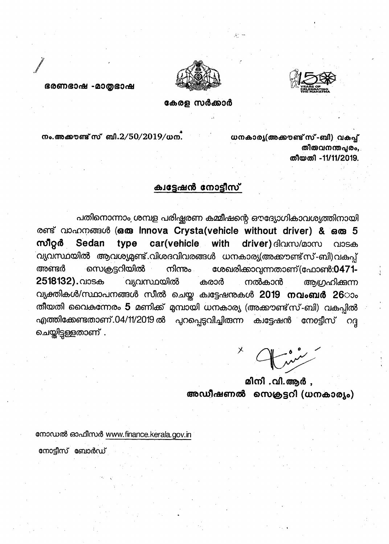



ഭരണഭാഷ -മാതൃഭാഷ

കേരള സർക്കാർ

നം. അക്കൗണ്ട് സ് ബി. $2/50/2019/\omega$ ന.

ധനകാര്യ(അക്കൗണ്ട് സ്-ബി) വകപ്പ് തിരുവനന്തപരം. തീയതി -11/11/2019.

## ക്വട്ടേഷൻ നോട്ടീസ്

പതിനൊന്നാം ശമ്പള പരിഷ്കരണ കമ്മീഷന്റെ ഔദ്യോഗികാവശ്യത്തിനായി രണ്ട് വാഹനങ്ങൾ (ഒരു Innova Crysta (vehicle without driver) & ഒരു 5 സീറ്റർ type car(vehicle with driver) ദിവസ/മാസ Sedan വാടക .<br>വ്യവസ്ഥയിൽ ആവശ്യമുണ്ട് വിശദവിവരങ്ങൾ ധനകാര്യ(അക്കൗണ്ട്സ്-ബി)വകപ്പ് സെക്രട്ടറിയിൽ ശേഖരിക്കാവന്നതാണ്(ഫോൺ:0471-അണ്ടർ നിന്നും 2518132). വാടക വ്യവസ്ഥയിൽ കരാർ ആഗ്രഹിക്കുന്ന നൽകാൻ വ്യക്തികൾ/സ്ഥാപനങ്ങൾ സീൽ ചെയ്ത ക്വട്ടേഷനുകൾ 2019 നവംബർ 26ാം തീയതി വൈകന്നേരം 5 മണിക്ക് മുമ്പായി ധനകാര്യ (അക്കൗണ്ട്സ്-ബി) വകപ്പിൽ എത്തിക്കേണ്ടതാണ്.04/11/2019 ൽ പുറപ്പെടുവിച്ചിരുന്ന ക്വട്ടേഷൻ നോട്ടീസ് OG ചെയ്തിട്ടുള്ളതാണ് .

മിനി .വി.ആർ , അഡീഷണൽ സെക്രട്ടറി (ധനകാര്യം)

നോഡൽ ഓഫീസർ www.finance.kerala.gov.in

നോട്ടീസ് ബോർഡ്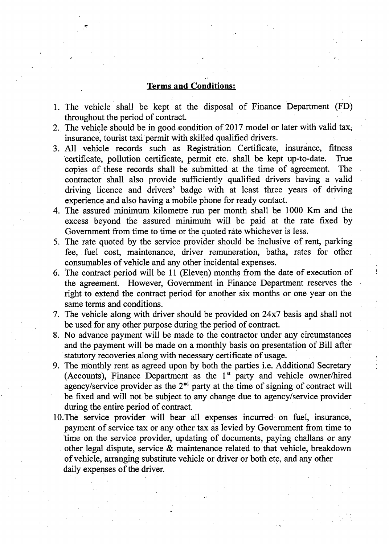## **Terms and Conditions:**

- 1. The vehicle shall be kept at the disposal of Finance Department (FD) throughout the period of contract.
- 2. The vehicle should be in good condition of 2017 model or later with valid tax, insurance, tourist taxi permit with skilled qualified drivers.
- 3. All vehicle records such as Registration Certificate, insurance, fitness certificate, pollution certificate, permit etc. shall be kept up-to-date. True copies of these records shall be submitted at the time of agreement. The contractor shall also provide sufficiently qualified drivers having a valid driving licence and drivers' badge with at least three years of driving experience and also having a mobile phone for ready contact.
- 4. The assured minimum kilometre run per month shall be 1000 Km and the excess beyond the assured minimum will be paid at the rate fixed by Government from time to time or the quoted rate whichever is less.
- 5. The rate quoted by the service provider should be inclusive of rent, parking fee, fuel cost, maintenance, driver remuneration, batha, rates for other consumables of vehicle and any other incidental expenses.
- 6. The contract period will be <sup>11</sup> (Eleven) months from the date of execution of the agreement. However, Government in Finance Department reserves the right to extend the contract period for another six months or one year on the same terms and conditions.

*i*

- 7. The vehicle along with driver should be provided on 24x7 basis and shall not be used for any other purpose during the period of contract.
- 8. No advance payment will be made to the contractor under any circumstances and the payment will be made on a monthly basis on presentation of Bill after statutory recoveries along with necessary certificate of usage.
- 9. The monthly rent as agreed upon by both the parties i.e. Additional Secretary (Accounts), Finance Department as the  $1<sup>st</sup>$  party and vehicle owner/hired agency/service provider as the  $2<sup>nd</sup>$  party at the time of signing of contract will be fixed and will not be subject to any change due to agency/service provider during the entire period of contract.
- 10.The service provider will bear all expenses incurred on fuel, insurance, payment of service tax or any other tax as levied by Government from time to time on the service provider, updating of documents, paying challans or any other legal dispute, service & maintenance related to that vehicle, breakdown ofvehicle, arranging substitute vehicle or driver or both etc. and any other daily expenses of the driver.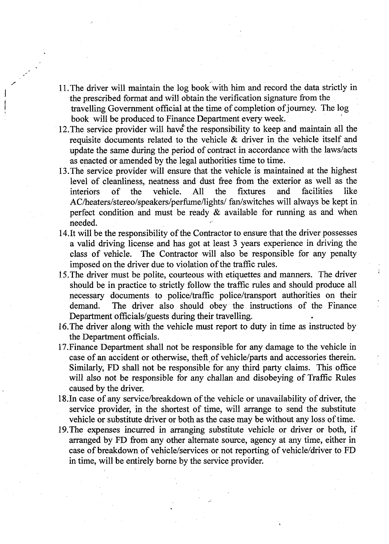- 11.The driver will maintain the log book with him and record the data strictly in the prescribed format and will obtain the verification signature from the travelling Government official at the time of completion ofjourney. The log book will be produced to Finance Department every week.
- 12. The service provider will have the responsibility to keep and maintain all the requisite documents related to the vehicle & driver in the vehicle itself and update the same during the period of contract in accordance with the laws/acts as enacted or amended by the legal authorities time to time.
- 13.The service provider will ensure that the vehicle is maintained at the highest level of cleanliness, neatness and dust free from the exterior as well as the interiors of the vehicle. All the fixtures and facilities like AC/heaters/stereo/speakers/perfiime/lights/ fan/switches will always be kept in perfect condition and must be ready  $\&$  available for running as and when needed.
- 14.It will be the responsibility of the Contractor to ensure that the driver possesses a valid driving license and has got at least 3 years experience in driving the class of vehicle. The Contractor will also be responsible for any penalty imposed on the driver due to violation of the traffic rules.
- 15.The driver must be polite, courteous with etiquettes and manners. The driver should be in practice to strictly follow the traffic rules and should produce all necessary documents to police/traffic police/transport authorities on their demand. The driver also should obey the instructions of the Finance Department officials/guests during their travelling.

**;**

- 16.The driver along with the vehicle must report to duty in time as instructed by the Department officials.
- 17.Finance Department shall not be responsible for any damage to the vehicle in case of an accident or otherwise, theft of vehicle/parts and accessories therein. Similarly, FD shall not be responsible for any third party claims. This office will also not be responsible for any challan and disobeying of Traffic Rules caused by the driver.
- 18. In case of any service/breakdown of the vehicle or unavailability of driver, the service provider, in the shortest of time, will arrange to send the substitute vehicle or substitute driver or both as the case may be without any loss of time.
- 19.The expenses incurred in arranging substitute vehicle or driver or both, if arranged by FD from any other alternate source, agency at any time, either in case of breakdown of vehicle/services or not reporting of vehicle/driver to FD in time, will be entirely borne by the service provider.